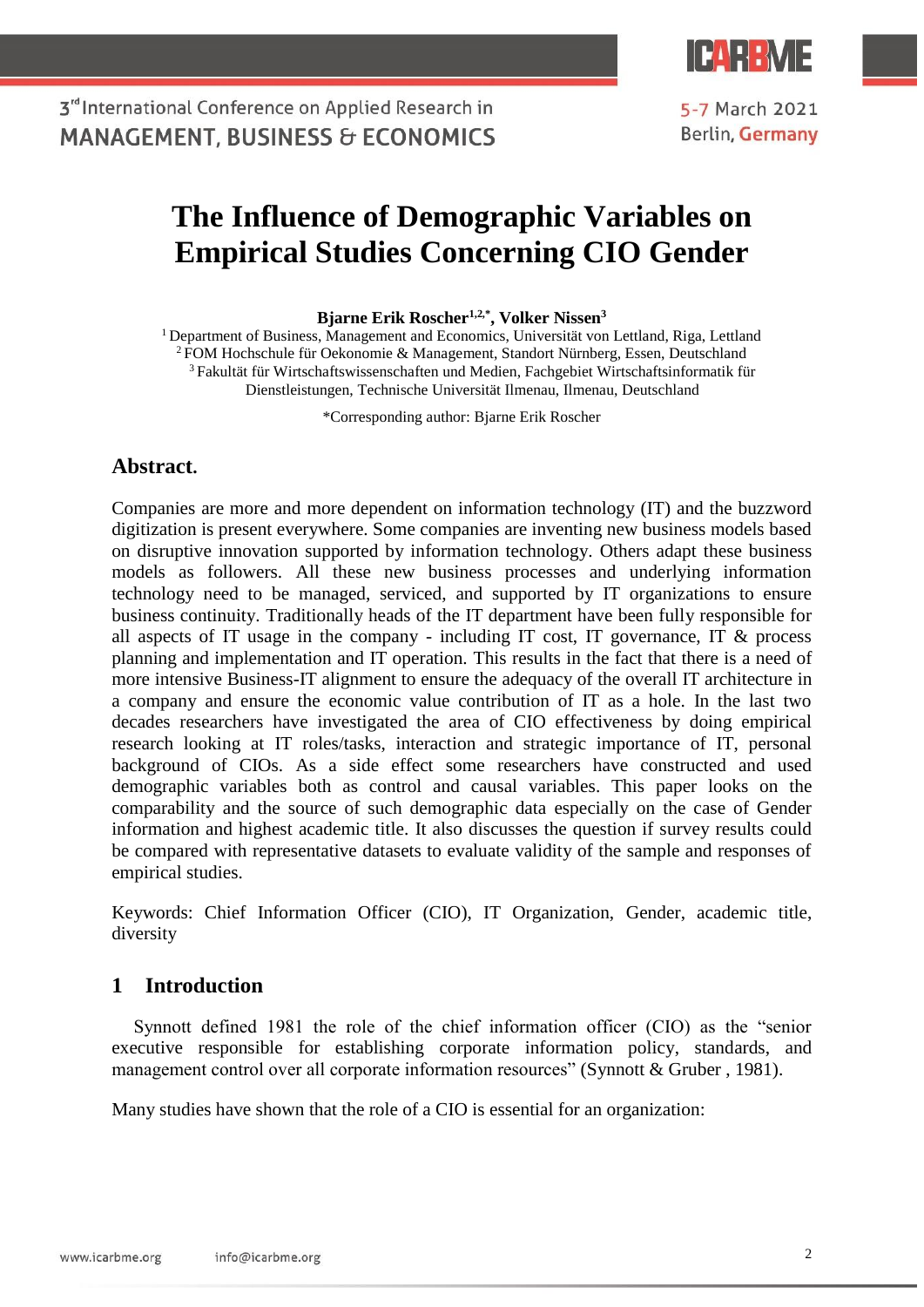

5-7 March 2021 Berlin, Germany

# **The Influence of Demographic Variables on Empirical Studies Concerning CIO Gender**

**Bjarne Erik Roscher1,2,\*, Volker Nissen<sup>3</sup>**

<sup>1</sup> Department of Business, Management and Economics, Universität von Lettland, Riga, Lettland <sup>2</sup>FOM Hochschule für Oekonomie & Management, Standort Nürnberg, Essen, Deutschland <sup>3</sup> Fakultät für Wirtschaftswissenschaften und Medien, Fachgebiet Wirtschaftsinformatik für Dienstleistungen, Technische Universität Ilmenau, Ilmenau, Deutschland

\*Corresponding author: Bjarne Erik Roscher

### **Abstract.**

Companies are more and more dependent on information technology (IT) and the buzzword digitization is present everywhere. Some companies are inventing new business models based on disruptive innovation supported by information technology. Others adapt these business models as followers. All these new business processes and underlying information technology need to be managed, serviced, and supported by IT organizations to ensure business continuity. Traditionally heads of the IT department have been fully responsible for all aspects of IT usage in the company - including IT cost, IT governance, IT  $\&$  process planning and implementation and IT operation. This results in the fact that there is a need of more intensive Business-IT alignment to ensure the adequacy of the overall IT architecture in a company and ensure the economic value contribution of IT as a hole. In the last two decades researchers have investigated the area of CIO effectiveness by doing empirical research looking at IT roles/tasks, interaction and strategic importance of IT, personal background of CIOs. As a side effect some researchers have constructed and used demographic variables both as control and causal variables. This paper looks on the comparability and the source of such demographic data especially on the case of Gender information and highest academic title. It also discusses the question if survey results could be compared with representative datasets to evaluate validity of the sample and responses of empirical studies.

Keywords: Chief Information Officer (CIO), IT Organization, Gender, academic title, diversity

### **1 Introduction**

Synnott defined 1981 the role of the chief information officer (CIO) as the "senior executive responsible for establishing corporate information policy, standards, and management control over all corporate information resources" (Synnott & Gruber , 1981).

Many studies have shown that the role of a CIO is essential for an organization: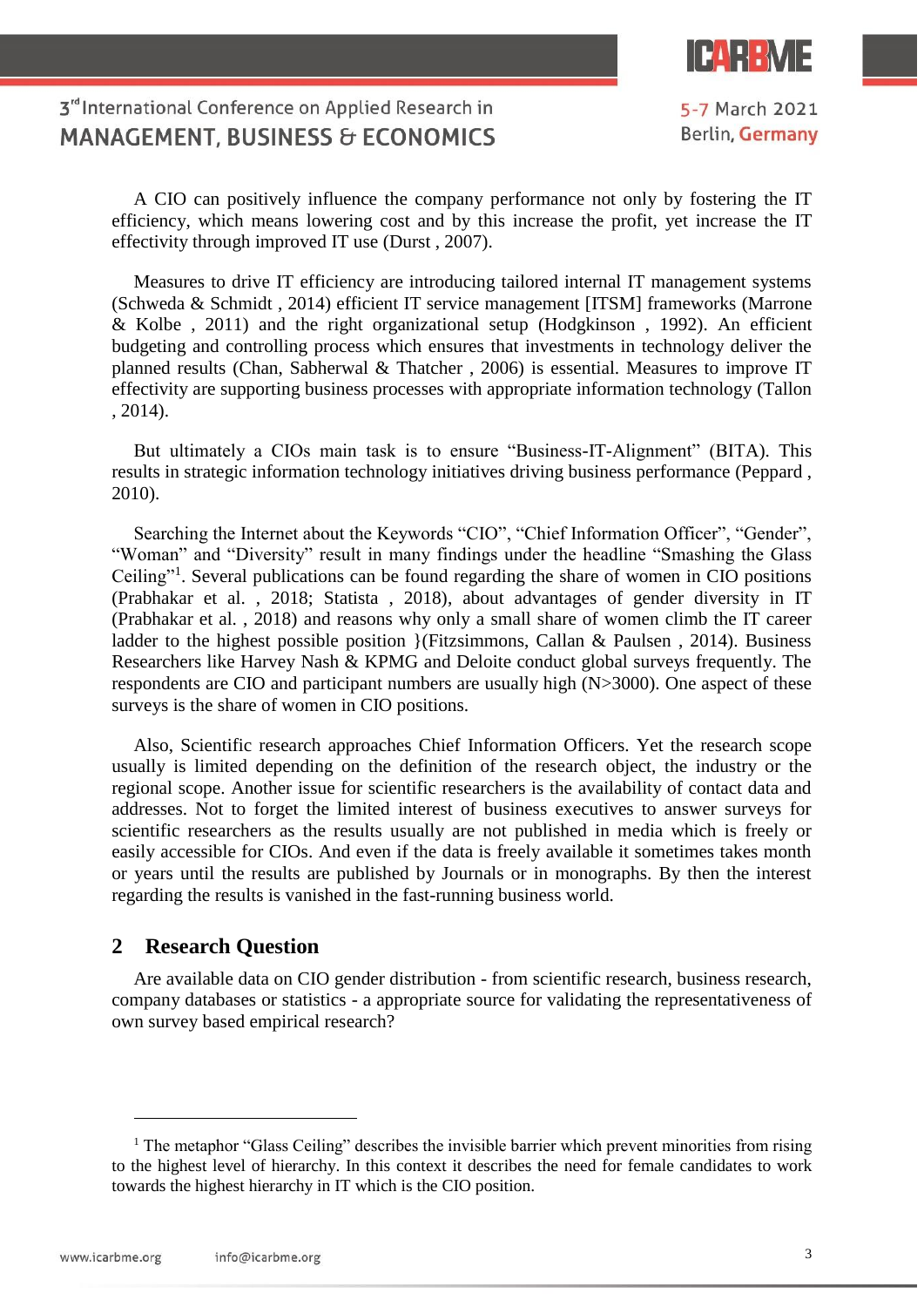

5-7 March 2021 Berlin, Germany

A CIO can positively influence the company performance not only by fostering the IT efficiency, which means lowering cost and by this increase the profit, yet increase the IT effectivity through improved IT use (Durst , 2007).

Measures to drive IT efficiency are introducing tailored internal IT management systems (Schweda & Schmidt , 2014) efficient IT service management [ITSM] frameworks (Marrone & Kolbe , 2011) and the right organizational setup (Hodgkinson , 1992). An efficient budgeting and controlling process which ensures that investments in technology deliver the planned results (Chan, Sabherwal & Thatcher , 2006) is essential. Measures to improve IT effectivity are supporting business processes with appropriate information technology (Tallon , 2014).

But ultimately a CIOs main task is to ensure "Business-IT-Alignment" (BITA). This results in strategic information technology initiatives driving business performance (Peppard , 2010).

Searching the Internet about the Keywords "CIO", "Chief Information Officer", "Gender", "Woman" and "Diversity" result in many findings under the headline "Smashing the Glass Ceiling"<sup>1</sup> . Several publications can be found regarding the share of women in CIO positions (Prabhakar et al. , 2018; Statista , 2018), about advantages of gender diversity in IT (Prabhakar et al. , 2018) and reasons why only a small share of women climb the IT career ladder to the highest possible position }(Fitzsimmons, Callan & Paulsen, 2014). Business Researchers like Harvey Nash & KPMG and Deloite conduct global surveys frequently. The respondents are CIO and participant numbers are usually high (N>3000). One aspect of these surveys is the share of women in CIO positions.

Also, Scientific research approaches Chief Information Officers. Yet the research scope usually is limited depending on the definition of the research object, the industry or the regional scope. Another issue for scientific researchers is the availability of contact data and addresses. Not to forget the limited interest of business executives to answer surveys for scientific researchers as the results usually are not published in media which is freely or easily accessible for CIOs. And even if the data is freely available it sometimes takes month or years until the results are published by Journals or in monographs. By then the interest regarding the results is vanished in the fast-running business world.

### **2 Research Question**

Are available data on CIO gender distribution - from scientific research, business research, company databases or statistics - a appropriate source for validating the representativeness of own survey based empirical research?

 $\overline{a}$ 

<sup>&</sup>lt;sup>1</sup> The metaphor "Glass Ceiling" describes the invisible barrier which prevent minorities from rising to the highest level of hierarchy. In this context it describes the need for female candidates to work towards the highest hierarchy in IT which is the CIO position.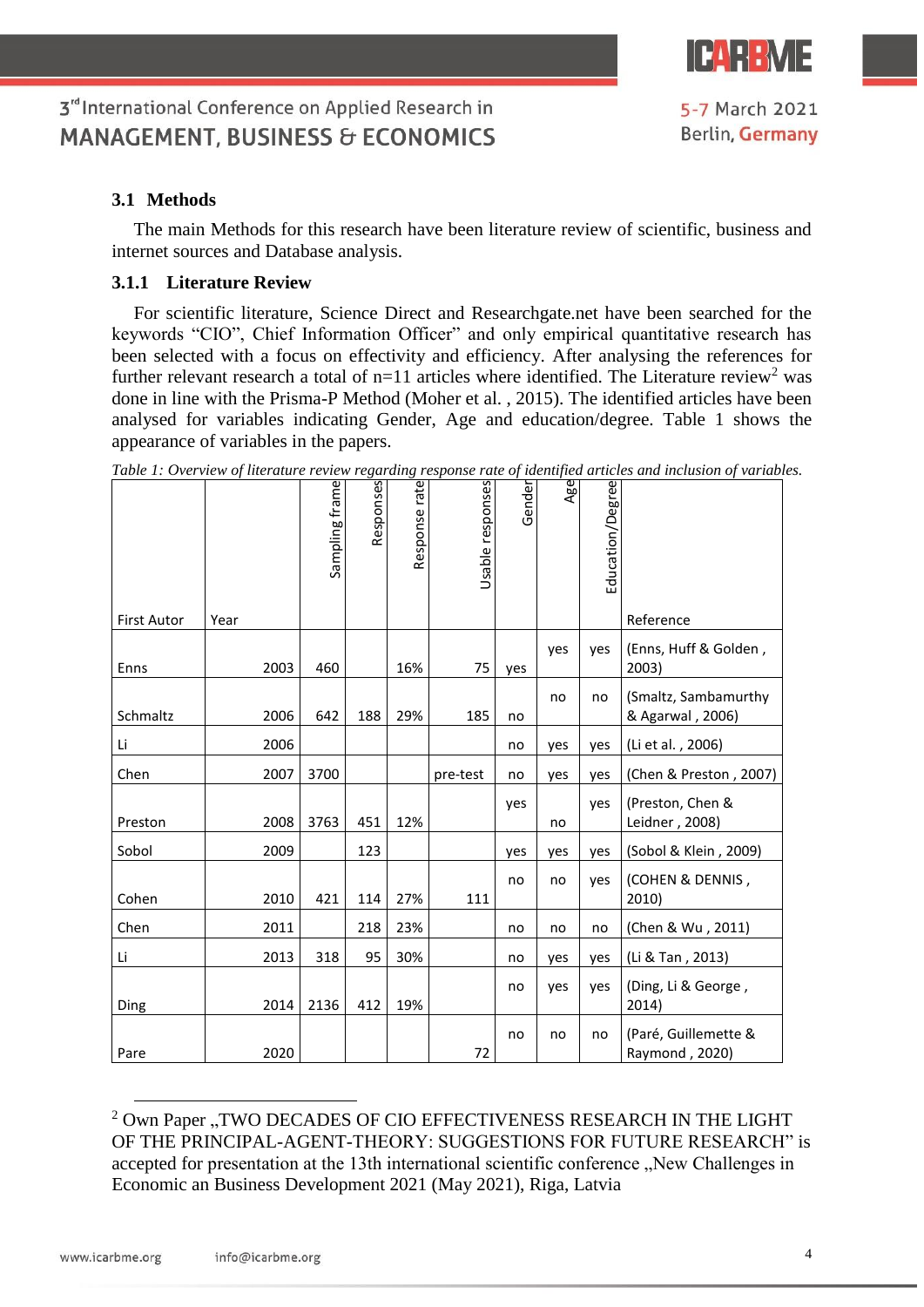

### **3.1 Methods**

The main Methods for this research have been literature review of scientific, business and internet sources and Database analysis.

### **3.1.1 Literature Review**

For scientific literature, Science Direct and Researchgate.net have been searched for the keywords "CIO", Chief Information Officer" and only empirical quantitative research has been selected with a focus on effectivity and efficiency. After analysing the references for further relevant research a total of  $n=11$  articles where identified. The Literature review<sup>2</sup> was done in line with the Prisma-P Method (Moher et al. , 2015). The identified articles have been analysed for variables indicating Gender, Age and education/degree. Table 1 shows the appearance of variables in the papers.

|                    |      | Sampling frame | Responses | Response rate | Usable responses | Gender | Age | Education/Degree |                                          |
|--------------------|------|----------------|-----------|---------------|------------------|--------|-----|------------------|------------------------------------------|
| <b>First Autor</b> | Year |                |           |               |                  |        |     |                  | Reference                                |
| Enns               | 2003 | 460            |           | 16%           | 75               | yes    | yes | yes              | (Enns, Huff & Golden,<br>2003)           |
| Schmaltz           | 2006 | 642            | 188       | 29%           | 185              | no     | no  | no               | (Smaltz, Sambamurthy<br>& Agarwal, 2006) |
| Li                 | 2006 |                |           |               |                  | no     | yes | yes              | (Li et al., 2006)                        |
| Chen               | 2007 | 3700           |           |               | pre-test         | no     | yes | yes              | (Chen & Preston, 2007)                   |
| Preston            | 2008 | 3763           | 451       | 12%           |                  | yes    | no  | yes              | (Preston, Chen &<br>Leidner, 2008)       |
| Sobol              | 2009 |                | 123       |               |                  | yes    | yes | yes              | (Sobol & Klein, 2009)                    |
| Cohen              | 2010 | 421            | 114       | 27%           | 111              | no     | no  | yes              | (COHEN & DENNIS,<br>2010)                |
| Chen               | 2011 |                | 218       | 23%           |                  | no     | no  | no               | (Chen & Wu, 2011)                        |
| Li                 | 2013 | 318            | 95        | 30%           |                  | no     | yes | yes              | (Li & Tan, 2013)                         |
| Ding               | 2014 | 2136           | 412       | 19%           |                  | no     | yes | yes              | (Ding, Li & George,<br>2014)             |
| Pare               | 2020 |                |           |               | 72               | no     | no  | no               | (Paré, Guillemette &<br>Raymond, 2020)   |

*Table 1: Overview of literature review regarding response rate of identified articles and inclusion of variables.*

 $\overline{a}$ 

 $2$  Own Paper "TWO DECADES OF CIO EFFECTIVENESS RESEARCH IN THE LIGHT OF THE PRINCIPAL-AGENT-THEORY: SUGGESTIONS FOR FUTURE RESEARCH" is accepted for presentation at the 13th international scientific conference "New Challenges in Economic an Business Development 2021 (May 2021), Riga, Latvia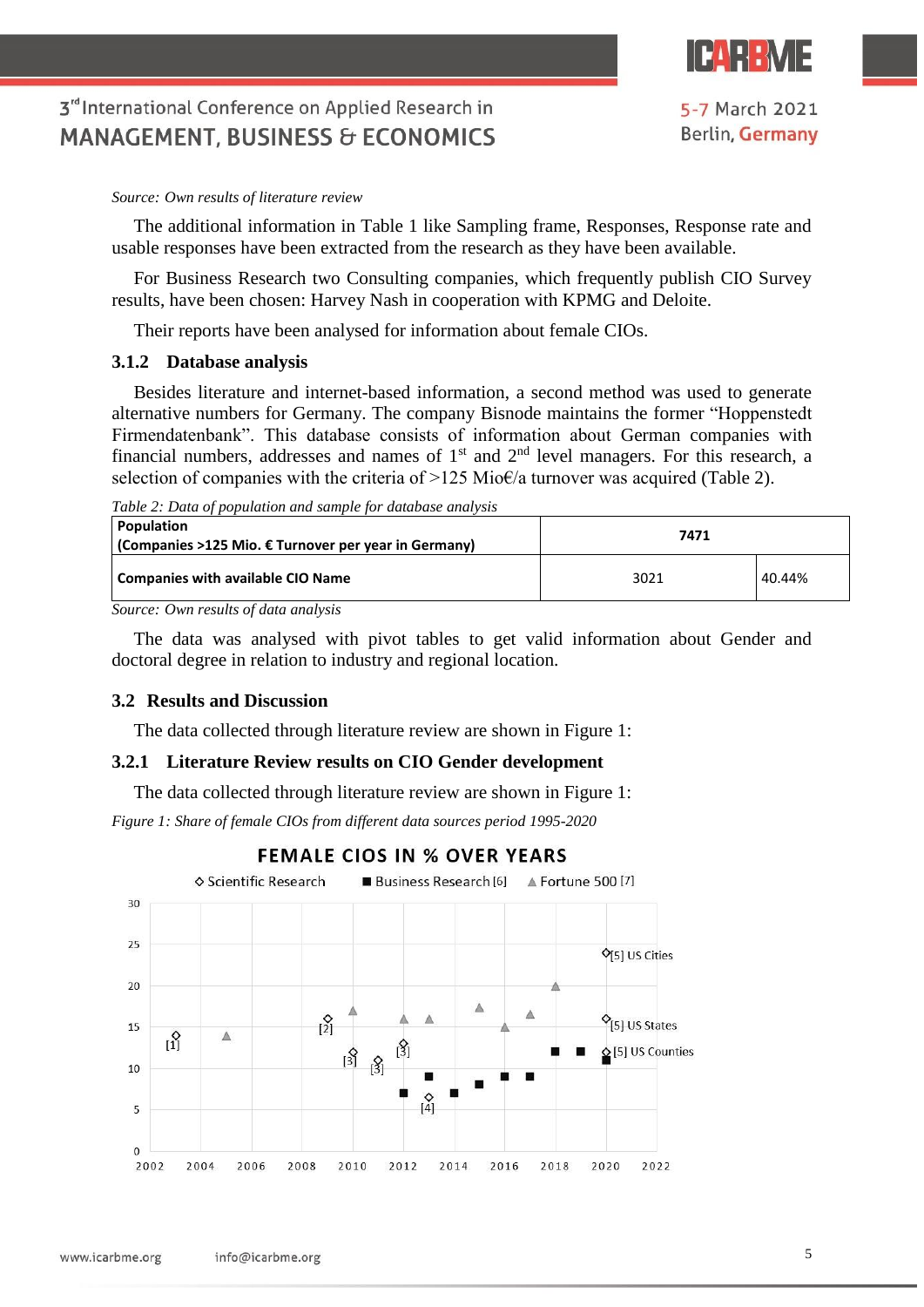

*Source: Own results of literature review*

The additional information in Table 1 like Sampling frame, Responses, Response rate and usable responses have been extracted from the research as they have been available.

For Business Research two Consulting companies, which frequently publish CIO Survey results, have been chosen: Harvey Nash in cooperation with KPMG and Deloite.

Their reports have been analysed for information about female CIOs.

### **3.1.2 Database analysis**

Besides literature and internet-based information, a second method was used to generate alternative numbers for Germany. The company Bisnode maintains the former "Hoppenstedt Firmendatenbank". This database consists of information about German companies with financial numbers, addresses and names of  $1<sup>st</sup>$  and  $2<sup>nd</sup>$  level managers. For this research, a selection of companies with the criteria of  $>125$  Mio $\epsilon/a$  turnover was acquired (Table 2).

*Table 2: Data of population and sample for database analysis*

| <b>Population</b><br>(Companies >125 Mio. € Turnover per year in Germany) | 7471 |        |  |  |
|---------------------------------------------------------------------------|------|--------|--|--|
| Companies with available CIO Name                                         | 3021 | 40.44% |  |  |

*Source: Own results of data analysis*

The data was analysed with pivot tables to get valid information about Gender and doctoral degree in relation to industry and regional location.

### **3.2 Results and Discussion**

The data collected through literature review are shown in Figure 1:

#### **3.2.1 Literature Review results on CIO Gender development**

The data collected through literature review are shown in Figure 1:

*Figure 1: Share of female CIOs from different data sources period 1995-2020* 

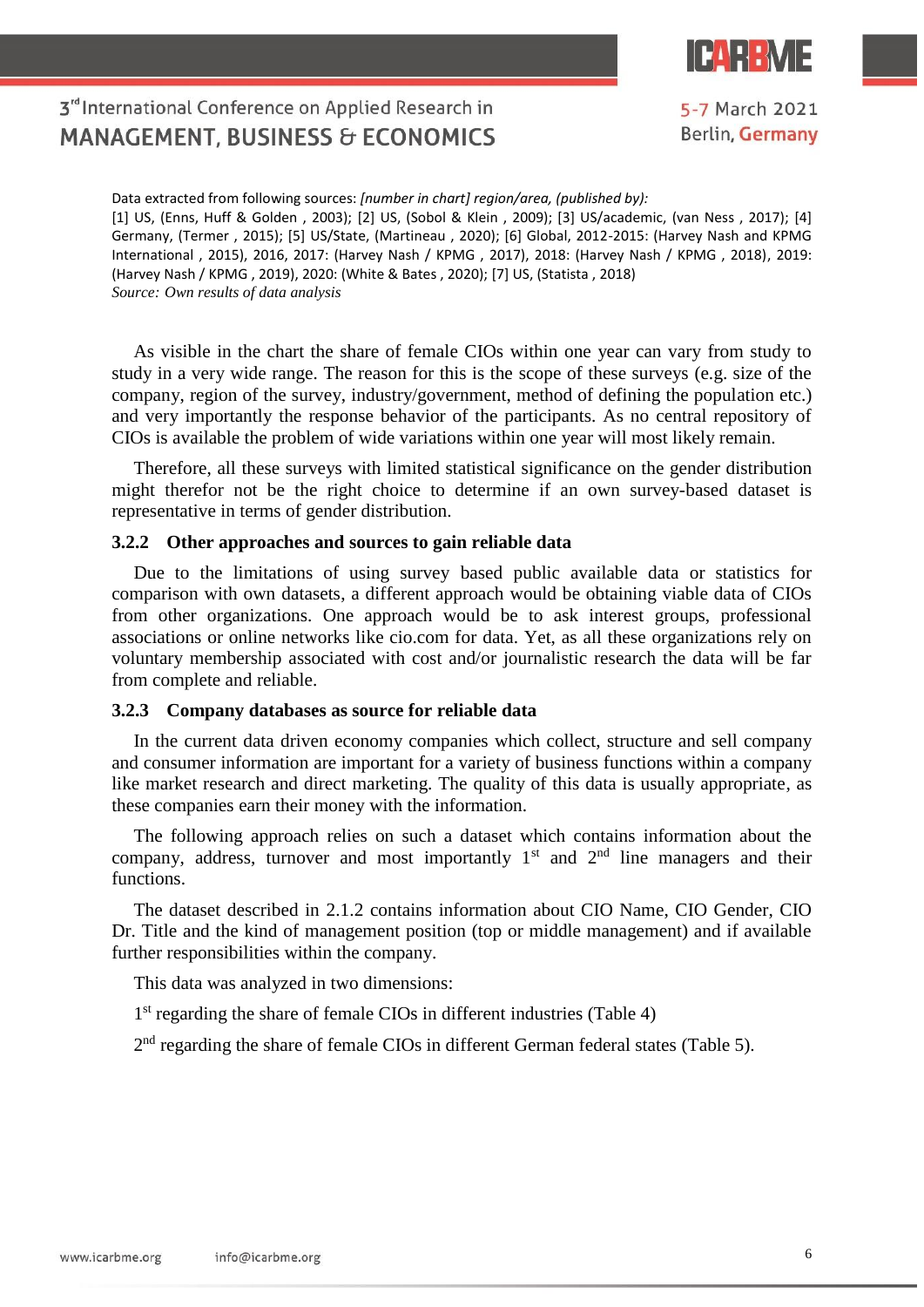

5-7 March 2021 Berlin, Germany

## 3<sup>rd</sup> International Conference on Applied Research in **MANAGEMENT, BUSINESS & ECONOMICS**

Data extracted from following sources: *[number in chart] region/area, (published by):* [1] US, (Enns, Huff & Golden , 2003); [2] US, (Sobol & Klein , 2009); [3] US/academic, (van Ness , 2017); [4] Germany, (Termer , 2015); [5] US/State, (Martineau , 2020); [6] Global, 2012-2015: (Harvey Nash and KPMG International , 2015), 2016, 2017: (Harvey Nash / KPMG , 2017), 2018: (Harvey Nash / KPMG , 2018), 2019: (Harvey Nash / KPMG , 2019), 2020: (White & Bates , 2020); [7] US, (Statista , 2018) *Source: Own results of data analysis*

As visible in the chart the share of female CIOs within one year can vary from study to study in a very wide range. The reason for this is the scope of these surveys (e.g. size of the company, region of the survey, industry/government, method of defining the population etc.) and very importantly the response behavior of the participants. As no central repository of CIOs is available the problem of wide variations within one year will most likely remain.

Therefore, all these surveys with limited statistical significance on the gender distribution might therefor not be the right choice to determine if an own survey-based dataset is representative in terms of gender distribution.

#### **3.2.2 Other approaches and sources to gain reliable data**

Due to the limitations of using survey based public available data or statistics for comparison with own datasets, a different approach would be obtaining viable data of CIOs from other organizations. One approach would be to ask interest groups, professional associations or online networks like cio.com for data. Yet, as all these organizations rely on voluntary membership associated with cost and/or journalistic research the data will be far from complete and reliable.

#### **3.2.3 Company databases as source for reliable data**

In the current data driven economy companies which collect, structure and sell company and consumer information are important for a variety of business functions within a company like market research and direct marketing. The quality of this data is usually appropriate, as these companies earn their money with the information.

The following approach relies on such a dataset which contains information about the company, address, turnover and most importantly  $1<sup>st</sup>$  and  $2<sup>nd</sup>$  line managers and their functions.

The dataset described in 2.1.2 contains information about CIO Name, CIO Gender, CIO Dr. Title and the kind of management position (top or middle management) and if available further responsibilities within the company.

This data was analyzed in two dimensions:

1<sup>st</sup> regarding the share of female CIOs in different industries (Table 4)

 $2<sup>nd</sup>$  regarding the share of female CIOs in different German federal states (Table 5).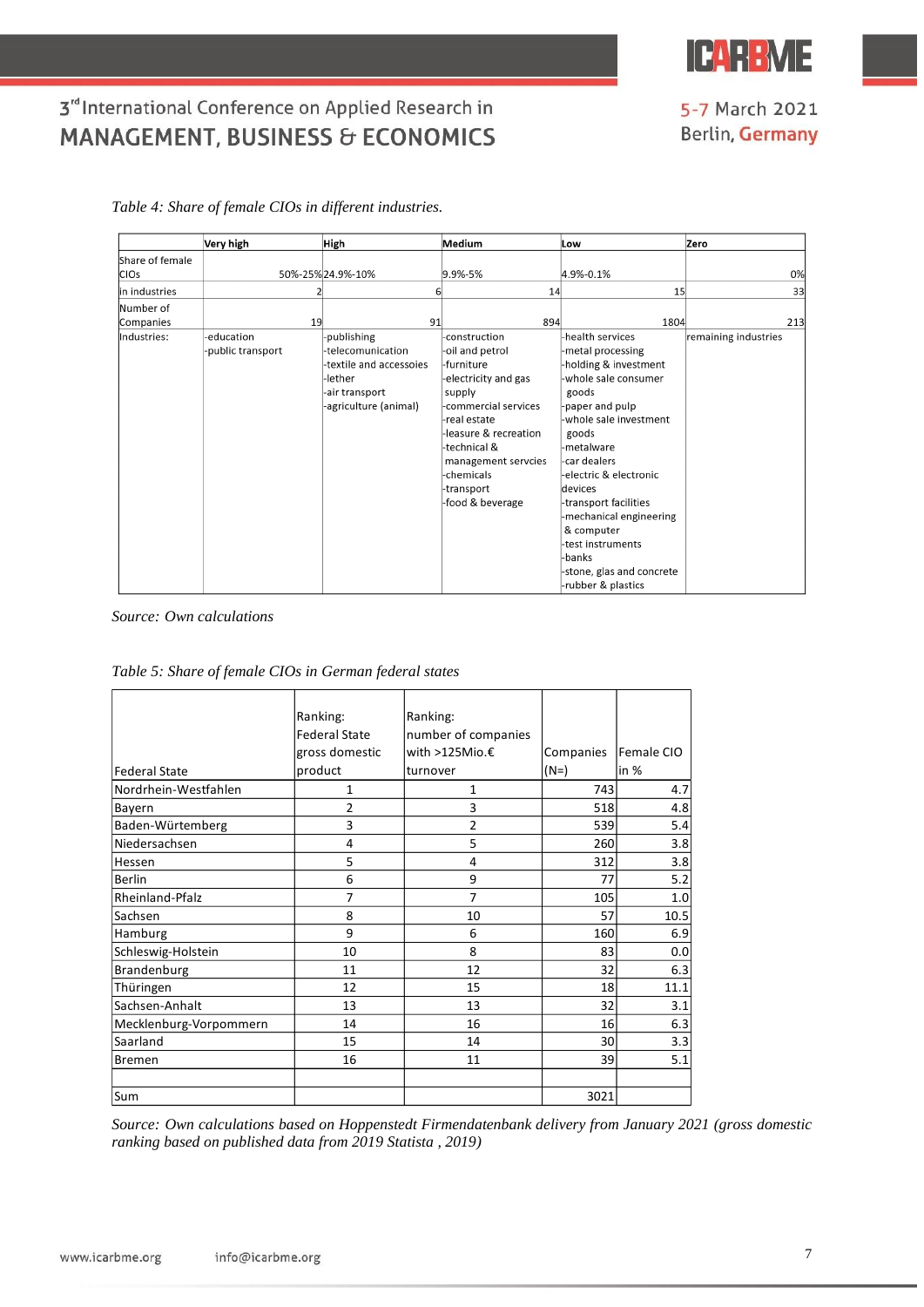

5-7 March 2021 **Berlin, Germany** 

## 3rd International Conference on Applied Research in **MANAGEMENT, BUSINESS & ECONOMICS**

|                 | Very high         | High                    | Medium                | Low                       | Zero                 |
|-----------------|-------------------|-------------------------|-----------------------|---------------------------|----------------------|
| Share of female |                   |                         |                       |                           |                      |
| ICIOs           |                   | 50%-25%24.9%-10%        | 9.9%-5%               | 4.9%-0.1%                 | 0%                   |
| in industries   |                   | 6                       | 14                    | 15                        | 33                   |
| Number of       |                   |                         |                       |                           |                      |
| Companies       | 19                | 91                      | 894                   | 1804                      | 213                  |
| lIndustries:    | -education        | -publishing             | -construction         | -health services          | remaining industries |
|                 | -public transport | -telecomunication       | -oil and petrol       | -metal processing         |                      |
|                 |                   | -textile and accessoies | -furniture            | -holding & investment     |                      |
|                 |                   | -lether                 | -electricity and gas  | -whole sale consumer      |                      |
|                 |                   | -air transport          | supply                | goods                     |                      |
|                 |                   | -agriculture (animal)   | -commercial services  | -paper and pulp           |                      |
|                 |                   |                         | -real estate          | -whole sale investment    |                      |
|                 |                   |                         | -leasure & recreation | goods                     |                      |
|                 |                   |                         | -technical &          | -metalware                |                      |
|                 |                   |                         | management servcies   | -car dealers              |                      |
|                 |                   |                         | -chemicals            | -electric & electronic    |                      |
|                 |                   |                         | -transport            | devices                   |                      |
|                 |                   |                         | -food & beverage      | -transport facilities     |                      |
|                 |                   |                         |                       | -mechanical engineering   |                      |
|                 |                   |                         |                       | & computer                |                      |
|                 |                   |                         |                       | test instruments          |                      |
|                 |                   |                         |                       | -banks                    |                      |
|                 |                   |                         |                       | -stone, glas and concrete |                      |
|                 |                   |                         |                       | -rubber & plastics        |                      |

*Table 4: Share of female CIOs in different industries.*

#### *Source: Own calculations*

|                        | Ranking:             | Ranking:            |           |            |
|------------------------|----------------------|---------------------|-----------|------------|
|                        | <b>Federal State</b> | number of companies |           |            |
|                        | gross domestic       | with >125Mio.€      | Companies | Female CIO |
| <b>Federal State</b>   | product              | turnover            | $(N=)$    | $\ln \%$   |
| Nordrhein-Westfahlen   | 1                    | 1                   | 743       | 4.7        |
| Bayern                 | 2                    | 3                   | 518       | 4.8        |
| Baden-Würtemberg       | 3                    | $\overline{2}$      | 539       | 5.4        |
| Niedersachsen          | 4                    | 5                   | 260       | 3.8        |
| Hessen                 | 5                    | 4                   | 312       | 3.8        |
| <b>Berlin</b>          | 6                    | 9                   | 77        | 5.2        |
| Rheinland-Pfalz        | $\overline{7}$       | $\overline{7}$      | 105       | 1.0        |
| Sachsen                | 8                    | 10                  | 57        | 10.5       |
| Hamburg                | 9                    | 6                   | 160       | 6.9        |
| Schleswig-Holstein     | 10                   | 8                   | 83        | 0.0        |
| Brandenburg            | 11                   | 12                  | 32        | 6.3        |
| Thüringen              | 12                   | 15                  | 18        | 11.1       |
| Sachsen-Anhalt         | 13                   | 13                  | 32        | 3.1        |
| Mecklenburg-Vorpommern | 14                   | 16                  | 16        | 6.3        |
| Saarland               | 15                   | 14                  | 30        | 3.3        |
| <b>Bremen</b>          | 16                   | 11                  | 39        | 5.1        |
|                        |                      |                     |           |            |
| Sum                    |                      |                     | 3021      |            |

*Table 5: Share of female CIOs in German federal states*

*Source: Own calculations based on Hoppenstedt Firmendatenbank delivery from January 2021 (gross domestic ranking based on published data from 2019 Statista , 2019)*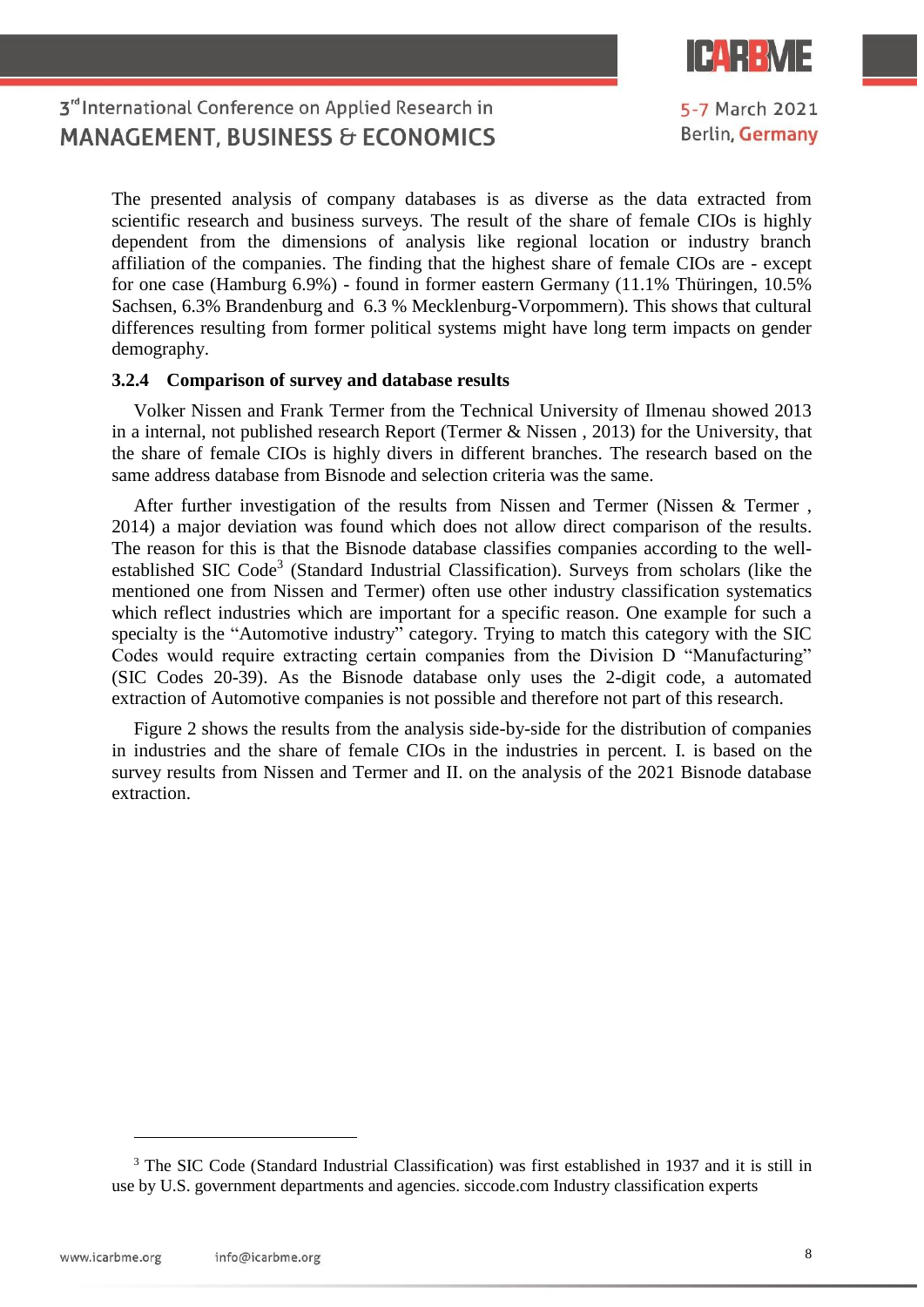

5-7 March 2021 Berlin, Germany

## 3<sup>rd</sup> International Conference on Applied Research in **MANAGEMENT, BUSINESS & ECONOMICS**

The presented analysis of company databases is as diverse as the data extracted from scientific research and business surveys. The result of the share of female CIOs is highly dependent from the dimensions of analysis like regional location or industry branch affiliation of the companies. The finding that the highest share of female CIOs are - except for one case (Hamburg 6.9%) - found in former eastern Germany (11.1% Thüringen, 10.5% Sachsen, 6.3% Brandenburg and 6.3 % Mecklenburg-Vorpommern). This shows that cultural differences resulting from former political systems might have long term impacts on gender demography.

#### **3.2.4 Comparison of survey and database results**

Volker Nissen and Frank Termer from the Technical University of Ilmenau showed 2013 in a internal, not published research Report (Termer & Nissen , 2013) for the University, that the share of female CIOs is highly divers in different branches. The research based on the same address database from Bisnode and selection criteria was the same.

After further investigation of the results from Nissen and Termer (Nissen & Termer , 2014) a major deviation was found which does not allow direct comparison of the results. The reason for this is that the Bisnode database classifies companies according to the wellestablished SIC Code<sup>3</sup> (Standard Industrial Classification). Surveys from scholars (like the mentioned one from Nissen and Termer) often use other industry classification systematics which reflect industries which are important for a specific reason. One example for such a specialty is the "Automotive industry" category. Trying to match this category with the SIC Codes would require extracting certain companies from the Division D "Manufacturing" (SIC Codes 20-39). As the Bisnode database only uses the 2-digit code, a automated extraction of Automotive companies is not possible and therefore not part of this research.

Figure 2 shows the results from the analysis side-by-side for the distribution of companies in industries and the share of female CIOs in the industries in percent. I. is based on the survey results from Nissen and Termer and II. on the analysis of the 2021 Bisnode database extraction.

 $\overline{a}$ 

<sup>&</sup>lt;sup>3</sup> The SIC Code (Standard Industrial Classification) was first established in 1937 and it is still in use by U.S. government departments and agencies. siccode.com Industry classification experts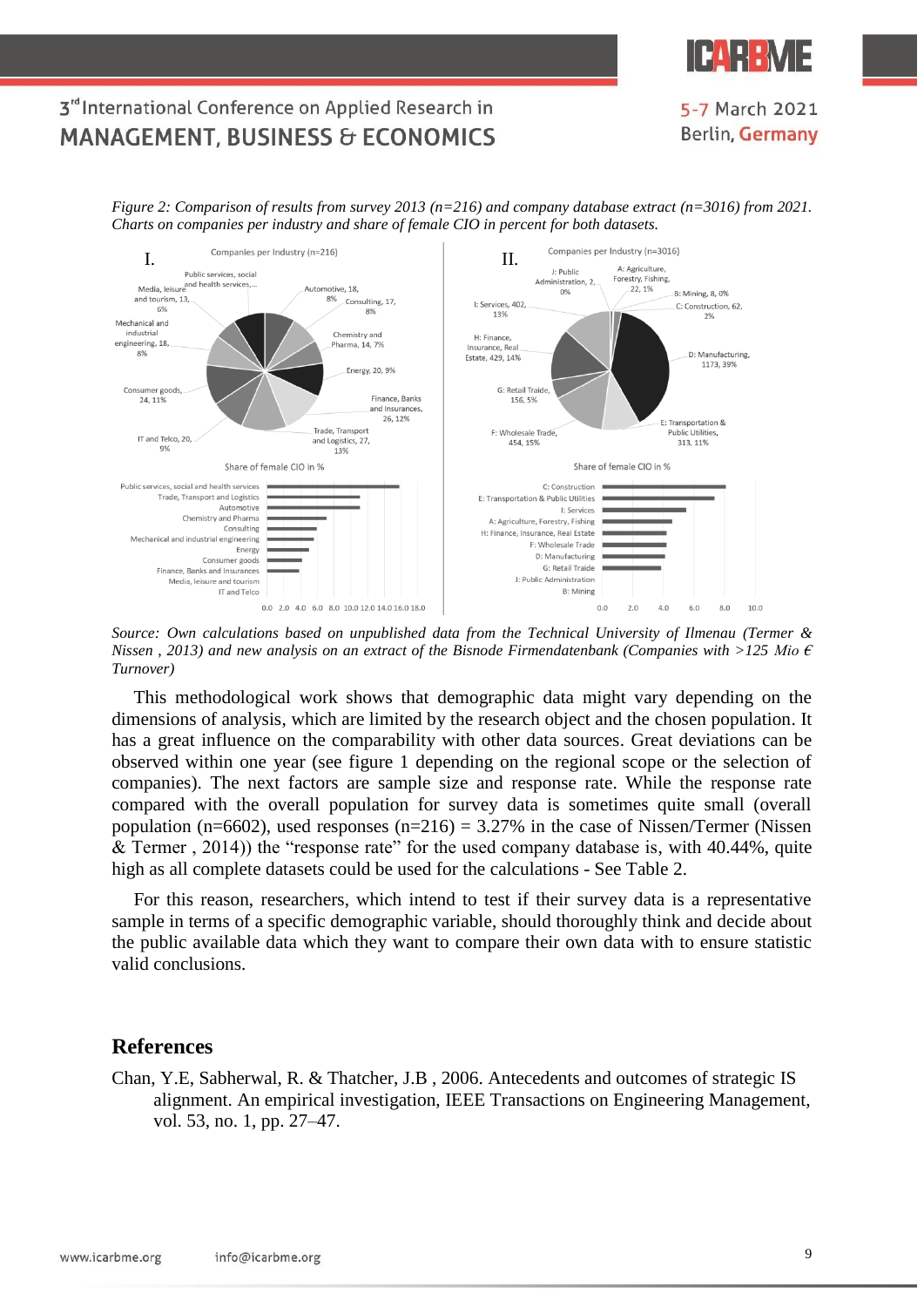

### 5-7 March 2021 Berlin, Germany

*Figure 2: Comparison of results from survey 2013 (n=216) and company database extract (n=3016) from 2021. Charts on companies per industry and share of female CIO in percent for both datasets.*



*Source: Own calculations based on unpublished data from the Technical University of Ilmenau (Termer & Nissen , 2013) and new analysis on an extract of the Bisnode Firmendatenbank (Companies with >125 Mio € Turnover)*

This methodological work shows that demographic data might vary depending on the dimensions of analysis, which are limited by the research object and the chosen population. It has a great influence on the comparability with other data sources. Great deviations can be observed within one year (see figure 1 depending on the regional scope or the selection of companies). The next factors are sample size and response rate. While the response rate compared with the overall population for survey data is sometimes quite small (overall population (n=6602), used responses (n=216) = 3.27% in the case of Nissen/Termer (Nissen & Termer , 2014)) the "response rate" for the used company database is, with 40.44%, quite high as all complete datasets could be used for the calculations - See Table 2.

For this reason, researchers, which intend to test if their survey data is a representative sample in terms of a specific demographic variable, should thoroughly think and decide about the public available data which they want to compare their own data with to ensure statistic valid conclusions.

### **References**

Chan, Y.E, Sabherwal, R. & Thatcher, J.B , 2006. Antecedents and outcomes of strategic IS alignment. An empirical investigation, IEEE Transactions on Engineering Management, vol. 53, no. 1, pp. 27–47.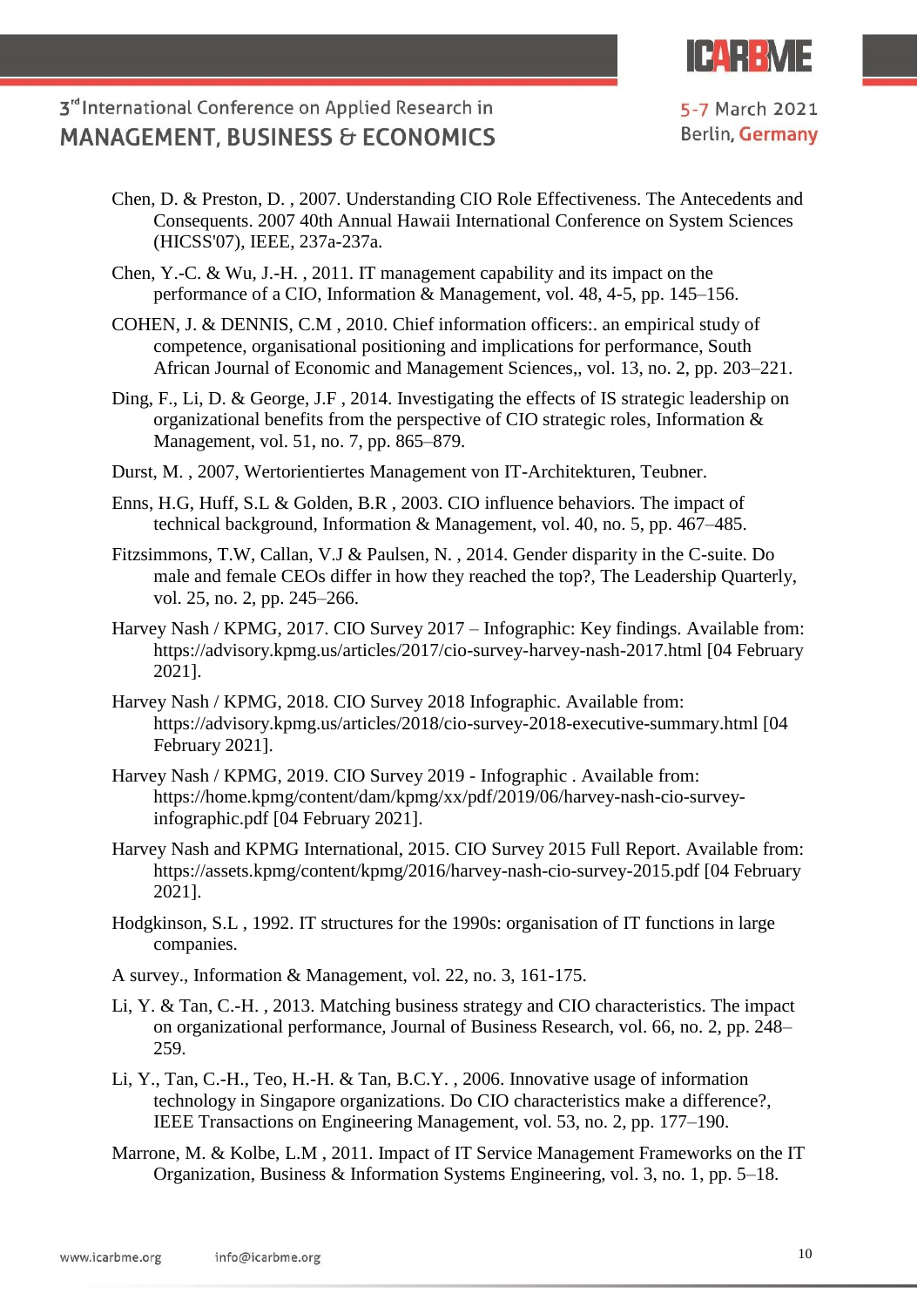

- Chen, D. & Preston, D. , 2007. Understanding CIO Role Effectiveness. The Antecedents and Consequents. 2007 40th Annual Hawaii International Conference on System Sciences (HICSS'07), IEEE, 237a-237a.
- Chen, Y.-C. & Wu, J.-H. , 2011. IT management capability and its impact on the performance of a CIO, Information & Management, vol. 48, 4-5, pp. 145–156.
- COHEN, J. & DENNIS, C.M , 2010. Chief information officers:. an empirical study of competence, organisational positioning and implications for performance, South African Journal of Economic and Management Sciences,, vol. 13, no. 2, pp. 203–221.
- Ding, F., Li, D. & George, J.F , 2014. Investigating the effects of IS strategic leadership on organizational benefits from the perspective of CIO strategic roles, Information & Management, vol. 51, no. 7, pp. 865–879.
- Durst, M. , 2007, Wertorientiertes Management von IT-Architekturen, Teubner.
- Enns, H.G, Huff, S.L & Golden, B.R , 2003. CIO influence behaviors. The impact of technical background, Information & Management, vol. 40, no. 5, pp. 467–485.
- Fitzsimmons, T.W, Callan, V.J & Paulsen, N. , 2014. Gender disparity in the C-suite. Do male and female CEOs differ in how they reached the top?, The Leadership Quarterly, vol. 25, no. 2, pp. 245–266.
- Harvey Nash / KPMG, 2017. CIO Survey 2017 Infographic: Key findings. Available from: https://advisory.kpmg.us/articles/2017/cio-survey-harvey-nash-2017.html [04 February 2021].
- Harvey Nash / KPMG, 2018. CIO Survey 2018 Infographic. Available from: https://advisory.kpmg.us/articles/2018/cio-survey-2018-executive-summary.html [04 February 2021].
- Harvey Nash / KPMG, 2019. CIO Survey 2019 Infographic . Available from: https://home.kpmg/content/dam/kpmg/xx/pdf/2019/06/harvey-nash-cio-surveyinfographic.pdf [04 February 2021].
- Harvey Nash and KPMG International, 2015. CIO Survey 2015 Full Report. Available from: https://assets.kpmg/content/kpmg/2016/harvey-nash-cio-survey-2015.pdf [04 February 2021].
- Hodgkinson, S.L , 1992. IT structures for the 1990s: organisation of IT functions in large companies.
- A survey., Information & Management, vol. 22, no. 3, 161-175.
- Li, Y. & Tan, C.-H. , 2013. Matching business strategy and CIO characteristics. The impact on organizational performance, Journal of Business Research, vol. 66, no. 2, pp. 248– 259.
- Li, Y., Tan, C.-H., Teo, H.-H. & Tan, B.C.Y. , 2006. Innovative usage of information technology in Singapore organizations. Do CIO characteristics make a difference?, IEEE Transactions on Engineering Management, vol. 53, no. 2, pp. 177–190.
- Marrone, M. & Kolbe, L.M , 2011. Impact of IT Service Management Frameworks on the IT Organization, Business & Information Systems Engineering, vol. 3, no. 1, pp. 5–18.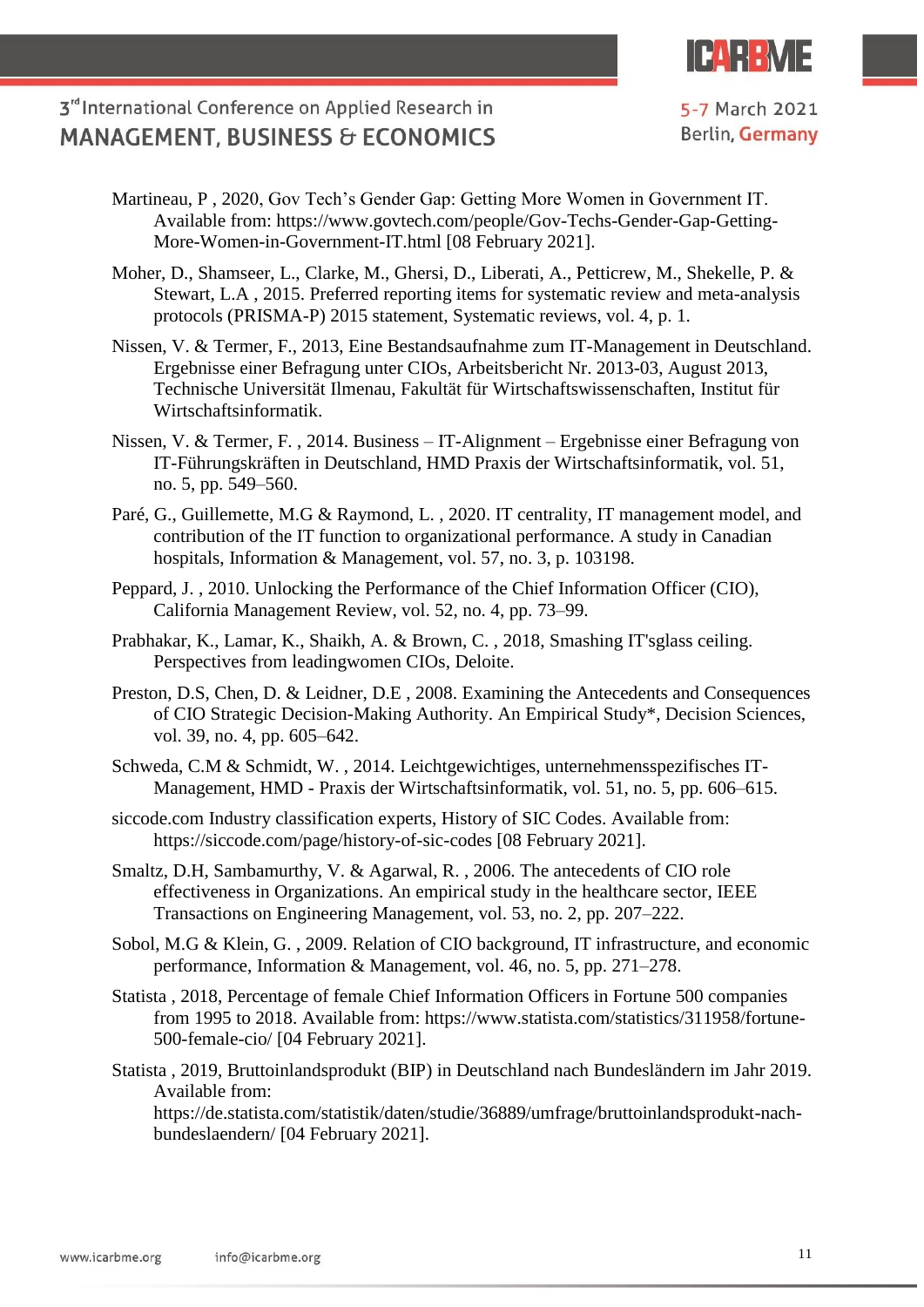

- Martineau, P , 2020, Gov Tech's Gender Gap: Getting More Women in Government IT. Available from: https://www.govtech.com/people/Gov-Techs-Gender-Gap-Getting-More-Women-in-Government-IT.html [08 February 2021].
- Moher, D., Shamseer, L., Clarke, M., Ghersi, D., Liberati, A., Petticrew, M., Shekelle, P. & Stewart, L.A , 2015. Preferred reporting items for systematic review and meta-analysis protocols (PRISMA-P) 2015 statement, Systematic reviews, vol. 4, p. 1.
- Nissen, V. & Termer, F., 2013, Eine Bestandsaufnahme zum IT-Management in Deutschland. Ergebnisse einer Befragung unter CIOs, Arbeitsbericht Nr. 2013-03, August 2013, Technische Universität Ilmenau, Fakultät für Wirtschaftswissenschaften, Institut für Wirtschaftsinformatik.
- Nissen, V. & Termer, F. , 2014. Business IT-Alignment Ergebnisse einer Befragung von IT-Führungskräften in Deutschland, HMD Praxis der Wirtschaftsinformatik, vol. 51, no. 5, pp. 549–560.
- Paré, G., Guillemette, M.G & Raymond, L. , 2020. IT centrality, IT management model, and contribution of the IT function to organizational performance. A study in Canadian hospitals, Information & Management, vol. 57, no. 3, p. 103198.
- Peppard, J. , 2010. Unlocking the Performance of the Chief Information Officer (CIO), California Management Review, vol. 52, no. 4, pp. 73–99.
- Prabhakar, K., Lamar, K., Shaikh, A. & Brown, C. , 2018, Smashing IT'sglass ceiling. Perspectives from leadingwomen CIOs, Deloite.
- Preston, D.S, Chen, D. & Leidner, D.E , 2008. Examining the Antecedents and Consequences of CIO Strategic Decision-Making Authority. An Empirical Study\*, Decision Sciences, vol. 39, no. 4, pp. 605–642.
- Schweda, C.M & Schmidt, W. , 2014. Leichtgewichtiges, unternehmensspezifisches IT-Management, HMD - Praxis der Wirtschaftsinformatik, vol. 51, no. 5, pp. 606–615.
- siccode.com Industry classification experts, History of SIC Codes. Available from: https://siccode.com/page/history-of-sic-codes [08 February 2021].
- Smaltz, D.H, Sambamurthy, V. & Agarwal, R. , 2006. The antecedents of CIO role effectiveness in Organizations. An empirical study in the healthcare sector, IEEE Transactions on Engineering Management, vol. 53, no. 2, pp. 207–222.
- Sobol, M.G & Klein, G. , 2009. Relation of CIO background, IT infrastructure, and economic performance, Information & Management, vol. 46, no. 5, pp. 271–278.
- Statista , 2018, Percentage of female Chief Information Officers in Fortune 500 companies from 1995 to 2018. Available from: https://www.statista.com/statistics/311958/fortune-500-female-cio/ [04 February 2021].
- Statista , 2019, Bruttoinlandsprodukt (BIP) in Deutschland nach Bundesländern im Jahr 2019. Available from:

https://de.statista.com/statistik/daten/studie/36889/umfrage/bruttoinlandsprodukt-nachbundeslaendern/ [04 February 2021].